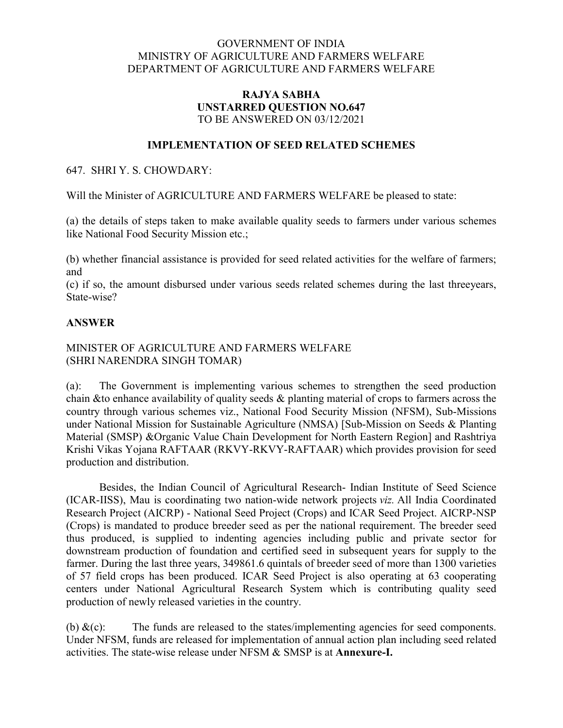# GOVERNMENT OF INDIA MINISTRY OF AGRICULTURE AND FARMERS WELFARE DEPARTMENT OF AGRICULTURE AND FARMERS WELFARE

# RAJYA SABHA UNSTARRED QUESTION NO.647 TO BE ANSWERED ON 03/12/2021

### IMPLEMENTATION OF SEED RELATED SCHEMES

#### 647. SHRI Y. S. CHOWDARY:

Will the Minister of AGRICULTURE AND FARMERS WELFARE be pleased to state:

(a) the details of steps taken to make available quality seeds to farmers under various schemes like National Food Security Mission etc.;

(b) whether financial assistance is provided for seed related activities for the welfare of farmers; and

(c) if so, the amount disbursed under various seeds related schemes during the last threeyears, State-wise?

## ANSWER

## MINISTER OF AGRICULTURE AND FARMERS WELFARE (SHRI NARENDRA SINGH TOMAR)

(a): The Government is implementing various schemes to strengthen the seed production chain &to enhance availability of quality seeds & planting material of crops to farmers across the country through various schemes viz., National Food Security Mission (NFSM), Sub-Missions under National Mission for Sustainable Agriculture (NMSA) [Sub-Mission on Seeds & Planting Material (SMSP) &Organic Value Chain Development for North Eastern Region] and Rashtriya Krishi Vikas Yojana RAFTAAR (RKVY-RKVY-RAFTAAR) which provides provision for seed production and distribution.

Besides, the Indian Council of Agricultural Research- Indian Institute of Seed Science (ICAR-IISS), Mau is coordinating two nation-wide network projects *viz.* All India Coordinated Research Project (AICRP) - National Seed Project (Crops) and ICAR Seed Project. AICRP-NSP (Crops) is mandated to produce breeder seed as per the national requirement. The breeder seed thus produced, is supplied to indenting agencies including public and private sector for downstream production of foundation and certified seed in subsequent years for supply to the farmer. During the last three years, 349861.6 quintals of breeder seed of more than 1300 varieties of 57 field crops has been produced. ICAR Seed Project is also operating at 63 cooperating centers under National Agricultural Research System which is contributing quality seed production of newly released varieties in the country.

(b)  $\&c)$ : The funds are released to the states/implementing agencies for seed components. Under NFSM, funds are released for implementation of annual action plan including seed related activities. The state-wise release under NFSM & SMSP is at Annexure-I.